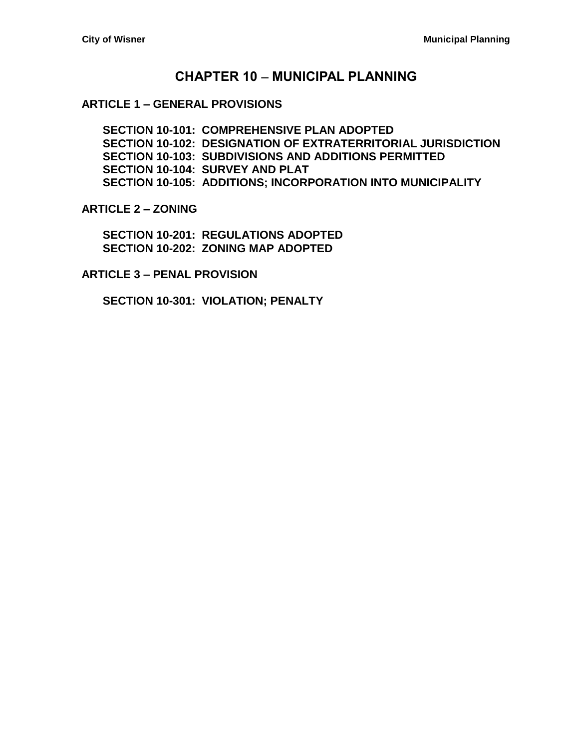# **CHAPTER 10 MUNICIPAL PLANNING**

#### **ARTICLE 1 – [GENERAL PROVISIONS](#page-2-0)**

**[SECTION 10-101: COMPREHENSIVE PLAN ADOPTED](#page-2-1) [SECTION 10-102: DESIGNATION OF EXTRATERRITORIAL JURISDICTION](#page-2-2) [SECTION 10-103: SUBDIVISIONS AND ADDITIONS PERMITTED](#page-2-3) [SECTION 10-104: SURVEY AND PLAT](#page-2-4) [SECTION 10-105: ADDITIONS; INCORPORATION INTO MUNICIPALITY](#page-3-0)**

**[ARTICLE 2 –](#page-4-0) ZONING**

**[SECTION 10-201: REGULATIONS ADOPTED](#page-4-1) [SECTION 10-202: ZONING MAP ADOPTED](#page-4-2)**

**ARTICLE 3 – [PENAL PROVISION](#page-6-0)**

**[SECTION 10-301: VIOLATION; PENALTY](#page-6-1)**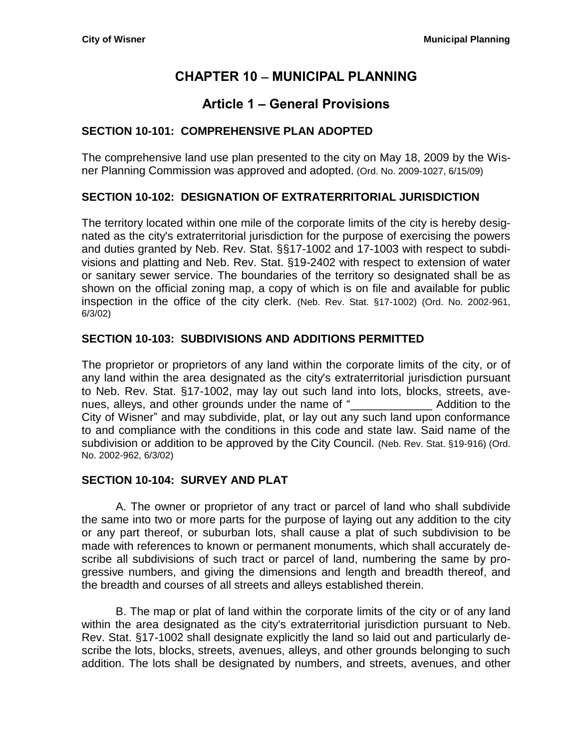# **CHAPTER 10 MUNICIPAL PLANNING**

# **Article 1 – General Provisions**

# <span id="page-2-1"></span><span id="page-2-0"></span>**SECTION 10-101: COMPREHENSIVE PLAN ADOPTED**

The comprehensive land use plan presented to the city on May 18, 2009 by the Wisner Planning Commission was approved and adopted. (Ord. No. 2009-1027, 6/15/09)

# <span id="page-2-2"></span>**SECTION 10-102: DESIGNATION OF EXTRATERRITORIAL JURISDICTION**

The territory located within one mile of the corporate limits of the city is hereby designated as the city's extraterritorial jurisdiction for the purpose of exercising the powers and duties granted by Neb. Rev. Stat. §§17-1002 and 17-1003 with respect to subdivisions and platting and Neb. Rev. Stat. §19-2402 with respect to extension of water or sanitary sewer service. The boundaries of the territory so designated shall be as shown on the official zoning map, a copy of which is on file and available for public inspection in the office of the city clerk. (Neb. Rev. Stat. §17-1002) (Ord. No. 2002-961, 6/3/02)

# <span id="page-2-3"></span>**SECTION 10-103: SUBDIVISIONS AND ADDITIONS PERMITTED**

The proprietor or proprietors of any land within the corporate limits of the city, or of any land within the area designated as the city's extraterritorial jurisdiction pursuant to Neb. Rev. Stat. §17-1002, may lay out such land into lots, blocks, streets, avenues, alleys, and other grounds under the name of " Addition to the City of Wisner" and may subdivide, plat, or lay out any such land upon conformance to and compliance with the conditions in this code and state law. Said name of the subdivision or addition to be approved by the City Council. (Neb. Rev. Stat. §19-916) (Ord. No. 2002-962, 6/3/02)

#### <span id="page-2-4"></span>**SECTION 10-104: SURVEY AND PLAT**

A. The owner or proprietor of any tract or parcel of land who shall subdivide the same into two or more parts for the purpose of laying out any addition to the city or any part thereof, or suburban lots, shall cause a plat of such subdivision to be made with references to known or permanent monuments, which shall accurately describe all subdivisions of such tract or parcel of land, numbering the same by progressive numbers, and giving the dimensions and length and breadth thereof, and the breadth and courses of all streets and alleys established therein.

B. The map or plat of land within the corporate limits of the city or of any land within the area designated as the city's extraterritorial jurisdiction pursuant to Neb. Rev. Stat. §17-1002 shall designate explicitly the land so laid out and particularly describe the lots, blocks, streets, avenues, alleys, and other grounds belonging to such addition. The lots shall be designated by numbers, and streets, avenues, and other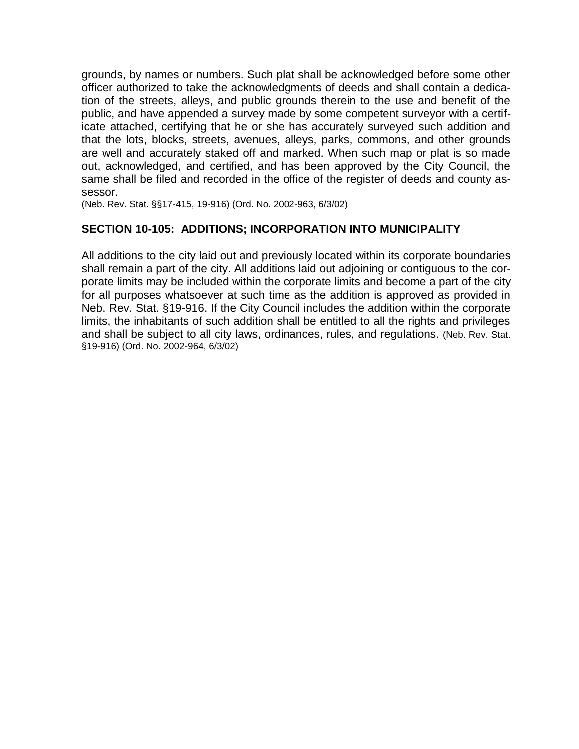grounds, by names or numbers. Such plat shall be acknowledged before some other officer authorized to take the acknowledgments of deeds and shall contain a dedication of the streets, alleys, and public grounds therein to the use and benefit of the public, and have appended a survey made by some competent surveyor with a certificate attached, certifying that he or she has accurately surveyed such addition and that the lots, blocks, streets, avenues, alleys, parks, commons, and other grounds are well and accurately staked off and marked. When such map or plat is so made out, acknowledged, and certified, and has been approved by the City Council, the same shall be filed and recorded in the office of the register of deeds and county assessor.

(Neb. Rev. Stat. §§17-415, 19-916) (Ord. No. 2002-963, 6/3/02)

# <span id="page-3-0"></span>**SECTION 10-105: ADDITIONS; INCORPORATION INTO MUNICIPALITY**

All additions to the city laid out and previously located within its corporate boundaries shall remain a part of the city. All additions laid out adjoining or contiguous to the corporate limits may be included within the corporate limits and become a part of the city for all purposes whatsoever at such time as the addition is approved as provided in Neb. Rev. Stat. §19-916. If the City Council includes the addition within the corporate limits, the inhabitants of such addition shall be entitled to all the rights and privileges and shall be subject to all city laws, ordinances, rules, and regulations. (Neb. Rev. Stat. §19-916) (Ord. No. 2002-964, 6/3/02)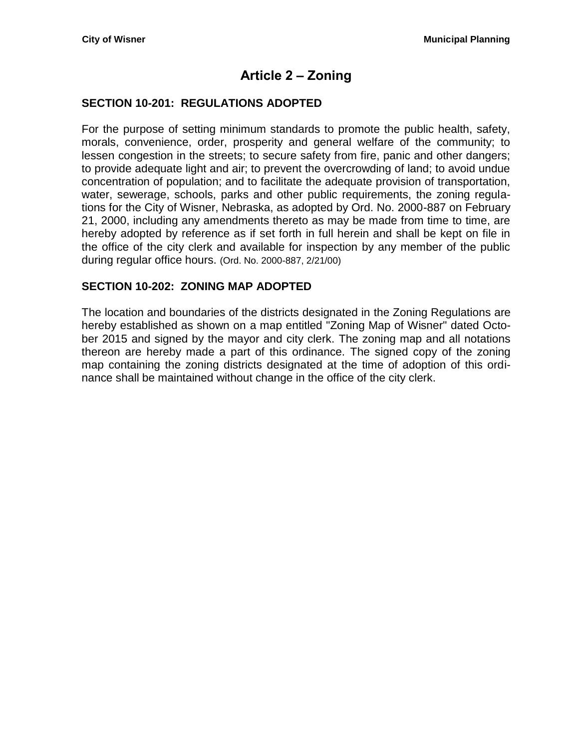# **Article 2 – Zoning**

# <span id="page-4-1"></span><span id="page-4-0"></span>**SECTION 10-201: REGULATIONS ADOPTED**

For the purpose of setting minimum standards to promote the public health, safety, morals, convenience, order, prosperity and general welfare of the community; to lessen congestion in the streets; to secure safety from fire, panic and other dangers; to provide adequate light and air; to prevent the overcrowding of land; to avoid undue concentration of population; and to facilitate the adequate provision of transportation, water, sewerage, schools, parks and other public requirements, the zoning regulations for the City of Wisner, Nebraska, as adopted by Ord. No. 2000-887 on February 21, 2000, including any amendments thereto as may be made from time to time, are hereby adopted by reference as if set forth in full herein and shall be kept on file in the office of the city clerk and available for inspection by any member of the public during regular office hours. (Ord. No. 2000-887, 2/21/00)

# <span id="page-4-2"></span>**SECTION 10-202: ZONING MAP ADOPTED**

The location and boundaries of the districts designated in the Zoning Regulations are hereby established as shown on a map entitled "Zoning Map of Wisner" dated October 2015 and signed by the mayor and city clerk. The zoning map and all notations thereon are hereby made a part of this ordinance. The signed copy of the zoning map containing the zoning districts designated at the time of adoption of this ordinance shall be maintained without change in the office of the city clerk.